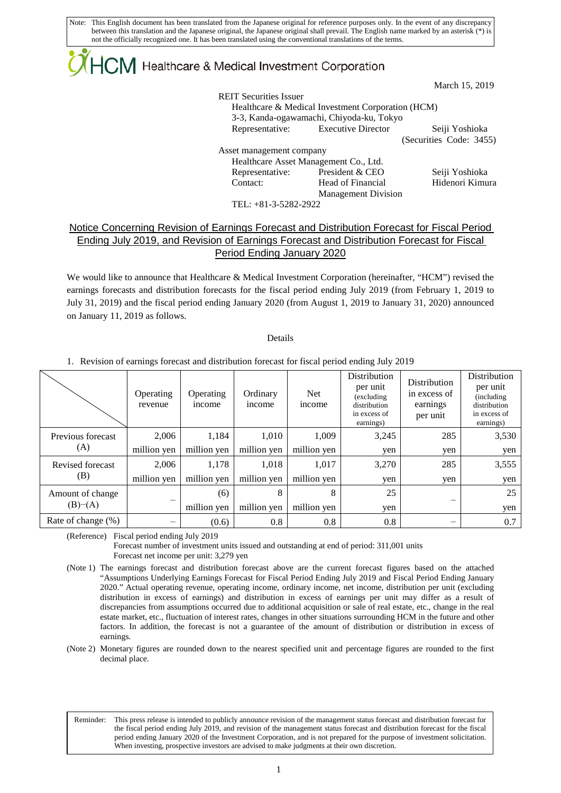## $\mathsf{ICM}\xspace$  Healthcare & Medical Investment Corporation

March 15, 2019

REIT Securities Issuer Healthcare & Medical Investment Corporation (HCM) 3-3, Kanda-ogawamachi, Chiyoda-ku, Tokyo Representative: Executive Director Seiji Yoshioka (Securities Code: 3455) Asset management company Healthcare Asset Management Co., Ltd. Representative: President & CEO Seiji Yoshioka Contact: Head of Financial Management Division Hidenori Kimura

TEL: +81-3-5282-2922

## Notice Concerning Revision of Earnings Forecast and Distribution Forecast for Fiscal Period Ending July 2019, and Revision of Earnings Forecast and Distribution Forecast for Fiscal Period Ending January 2020

We would like to announce that Healthcare & Medical Investment Corporation (hereinafter, "HCM") revised the earnings forecasts and distribution forecasts for the fiscal period ending July 2019 (from February 1, 2019 to July 31, 2019) and the fiscal period ending January 2020 (from August 1, 2019 to January 31, 2020) announced on January 11, 2019 as follows.

Details

1. Revision of earnings forecast and distribution forecast for fiscal period ending July 2019

|                             | Operating<br>revenue | Operating<br>income | Ordinary<br>income | <b>Net</b><br>income | Distribution<br>per unit<br>(excluding<br>distribution<br>in excess of<br>earnings) | Distribution<br>in excess of<br>earnings<br>per unit | Distribution<br>per unit<br>(including)<br>distribution<br>in excess of<br>earnings) |
|-----------------------------|----------------------|---------------------|--------------------|----------------------|-------------------------------------------------------------------------------------|------------------------------------------------------|--------------------------------------------------------------------------------------|
| Previous forecast<br>(A)    | 2.006                | 1,184               | 1,010              | 1.009                | 3,245                                                                               | 285                                                  | 3,530                                                                                |
|                             | million yen          | million yen         | million yen        | million yen          | yen                                                                                 | yen                                                  | yen                                                                                  |
| Revised forecast<br>(B)     | 2.006                | 1,178               | 1,018              | 1,017                | 3,270                                                                               | 285                                                  | 3,555                                                                                |
|                             | million yen          | million yen         | million yen        | million yen          | yen                                                                                 | yen                                                  | yen                                                                                  |
| Amount of change<br>(B)–(A) |                      | (6)                 | 8                  | 8                    | 25                                                                                  |                                                      | 25                                                                                   |
|                             |                      | million yen         | million yen        | million yen          | yen                                                                                 |                                                      | yen                                                                                  |
| Rate of change (%)          |                      | (0.6)               | 0.8                | 0.8                  | 0.8                                                                                 |                                                      | 0.7                                                                                  |

(Reference) Fiscal period ending July 2019

L

Forecast number of investment units issued and outstanding at end of period: 311,001 units Forecast net income per unit: 3,279 yen

(Note 1) The earnings forecast and distribution forecast above are the current forecast figures based on the attached "Assumptions Underlying Earnings Forecast for Fiscal Period Ending July 2019 and Fiscal Period Ending January 2020." Actual operating revenue, operating income, ordinary income, net income, distribution per unit (excluding distribution in excess of earnings) and distribution in excess of earnings per unit may differ as a result of discrepancies from assumptions occurred due to additional acquisition or sale of real estate, etc., change in the real estate market, etc., fluctuation of interest rates, changes in other situations surrounding HCM in the future and other factors. In addition, the forecast is not a guarantee of the amount of distribution or distribution in excess of earnings.

(Note 2) Monetary figures are rounded down to the nearest specified unit and percentage figures are rounded to the first decimal place.

Reminder: This press release is intended to publicly announce revision of the management status forecast and distribution forecast for the fiscal period ending July 2019, and revision of the management status forecast and distribution forecast for the fiscal period ending January 2020 of the Investment Corporation, and is not prepared for the purpose of investment solicitation. When investing, prospective investors are advised to make judgments at their own discretion.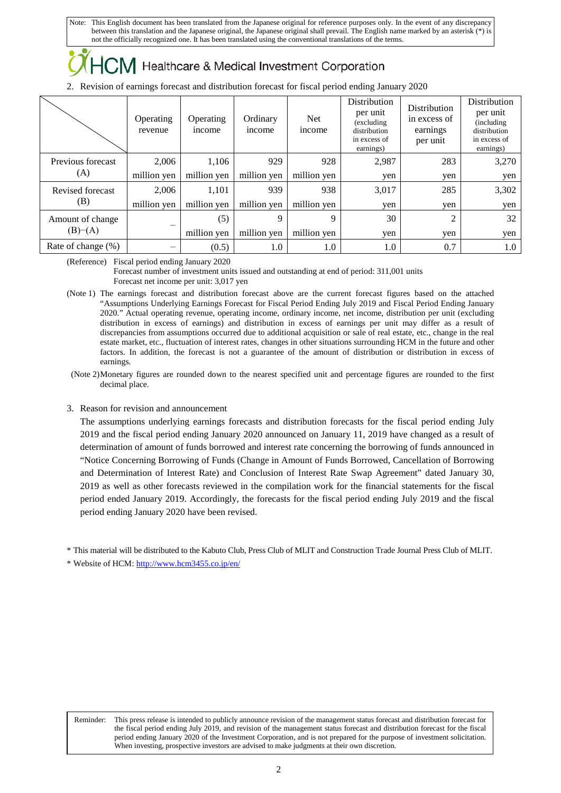## Healthcare & Medical Investment Corporation

2. Revision of earnings forecast and distribution forecast for fiscal period ending January 2020

|                             | Operating<br>revenue | Operating<br><i>n</i> come | Ordinary<br>income | <b>Net</b><br><i>ncome</i> | Distribution<br>per unit<br>(excluding<br>distribution<br>in excess of<br>earnings) | Distribution<br>in excess of<br>earnings<br>per unit | Distribution<br>per unit<br>(including)<br>distribution<br>in excess of<br>earnings) |
|-----------------------------|----------------------|----------------------------|--------------------|----------------------------|-------------------------------------------------------------------------------------|------------------------------------------------------|--------------------------------------------------------------------------------------|
| Previous forecast<br>(A)    | 2.006                | 1,106                      | 929                | 928                        | 2,987                                                                               | 283                                                  | 3,270                                                                                |
|                             | million yen          | million yen                | million yen        | million yen                | yen                                                                                 | yen                                                  | yen                                                                                  |
| Revised forecast<br>(B)     | 2.006                | 1,101                      | 939                | 938                        | 3,017                                                                               | 285                                                  | 3,302                                                                                |
|                             | million yen          | million yen                | million yen        | million yen                | yen                                                                                 | yen                                                  | yen                                                                                  |
| Amount of change<br>(B)–(A) |                      | (5)                        | 9                  | 9                          | 30                                                                                  | $\overline{2}$                                       | 32                                                                                   |
|                             |                      | million yen                | million yen        | million yen                | yen                                                                                 | ven                                                  | yen                                                                                  |
| Rate of change (%)          |                      | (0.5)                      | 1.0                | 1.0                        | 1.0                                                                                 | 0.7                                                  | 1.0                                                                                  |

(Reference) Fiscal period ending January 2020

Forecast number of investment units issued and outstanding at end of period: 311,001 units Forecast net income per unit: 3,017 yen

- (Note 1) The earnings forecast and distribution forecast above are the current forecast figures based on the attached "Assumptions Underlying Earnings Forecast for Fiscal Period Ending July 2019 and Fiscal Period Ending January 2020." Actual operating revenue, operating income, ordinary income, net income, distribution per unit (excluding distribution in excess of earnings) and distribution in excess of earnings per unit may differ as a result of discrepancies from assumptions occurred due to additional acquisition or sale of real estate, etc., change in the real estate market, etc., fluctuation of interest rates, changes in other situations surrounding HCM in the future and other factors. In addition, the forecast is not a guarantee of the amount of distribution or distribution in excess of earnings.
- (Note 2)Monetary figures are rounded down to the nearest specified unit and percentage figures are rounded to the first decimal place.

## 3. Reason for revision and announcement

The assumptions underlying earnings forecasts and distribution forecasts for the fiscal period ending July 2019 and the fiscal period ending January 2020 announced on January 11, 2019 have changed as a result of determination of amount of funds borrowed and interest rate concerning the borrowing of funds announced in "Notice Concerning Borrowing of Funds (Change in Amount of Funds Borrowed, Cancellation of Borrowing and Determination of Interest Rate) and Conclusion of Interest Rate Swap Agreement" dated January 30, 2019 as well as other forecasts reviewed in the compilation work for the financial statements for the fiscal period ended January 2019. Accordingly, the forecasts for the fiscal period ending July 2019 and the fiscal period ending January 2020 have been revised.

\* This material will be distributed to the Kabuto Club, Press Club of MLIT and Construction Trade Journal Press Club of MLIT.

\* Website of HCM[: http://www.hcm3455.co.jp/en/](http://www.hcm3455.co.jp/en/)

L

Reminder: This press release is intended to publicly announce revision of the management status forecast and distribution forecast for the fiscal period ending July 2019, and revision of the management status forecast and distribution forecast for the fiscal period ending January 2020 of the Investment Corporation, and is not prepared for the purpose of investment solicitation. When investing, prospective investors are advised to make judgments at their own discretion.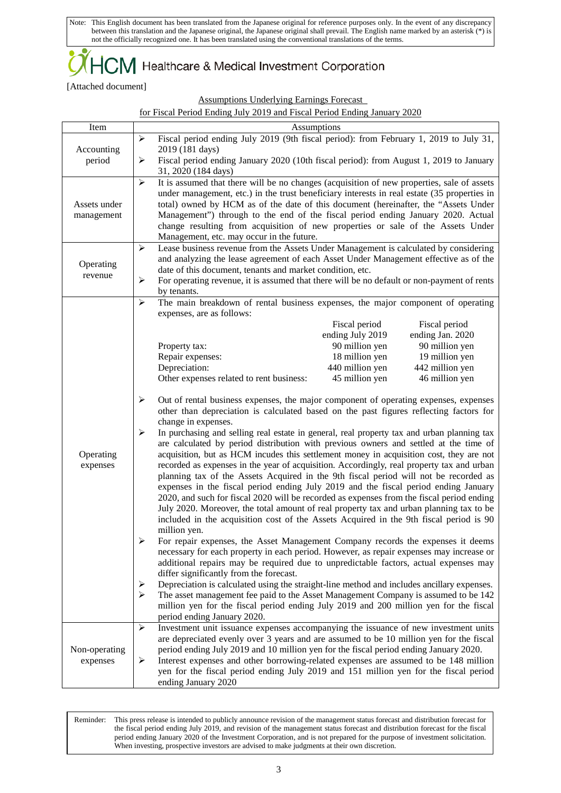$+C\!M$  Healthcare & Medical Investment Corporation

[Attached document]

Assumptions Underlying Earnings Forecast

|  |  |  | for Fiscal Period Ending July 2019 and Fiscal Period Ending January 2020 |  |
|--|--|--|--------------------------------------------------------------------------|--|
|--|--|--|--------------------------------------------------------------------------|--|

| Item          | Assumptions                                                                                                                                                                         |  |  |  |  |  |  |
|---------------|-------------------------------------------------------------------------------------------------------------------------------------------------------------------------------------|--|--|--|--|--|--|
| Accounting    | Fiscal period ending July 2019 (9th fiscal period): from February 1, 2019 to July 31,<br>$\blacktriangleright$<br>2019 (181 days)                                                   |  |  |  |  |  |  |
| period        | $\blacktriangleright$<br>Fiscal period ending January 2020 (10th fiscal period): from August 1, 2019 to January<br>31, 2020 (184 days)                                              |  |  |  |  |  |  |
|               | $\blacktriangleright$<br>It is assumed that there will be no changes (acquisition of new properties, sale of assets                                                                 |  |  |  |  |  |  |
|               | under management, etc.) in the trust beneficiary interests in real estate (35 properties in                                                                                         |  |  |  |  |  |  |
| Assets under  | total) owned by HCM as of the date of this document (hereinafter, the "Assets Under                                                                                                 |  |  |  |  |  |  |
| management    | Management") through to the end of the fiscal period ending January 2020. Actual                                                                                                    |  |  |  |  |  |  |
|               | change resulting from acquisition of new properties or sale of the Assets Under<br>Management, etc. may occur in the future.                                                        |  |  |  |  |  |  |
|               | Lease business revenue from the Assets Under Management is calculated by considering<br>$\blacktriangleright$                                                                       |  |  |  |  |  |  |
|               | and analyzing the lease agreement of each Asset Under Management effective as of the                                                                                                |  |  |  |  |  |  |
| Operating     | date of this document, tenants and market condition, etc.                                                                                                                           |  |  |  |  |  |  |
| revenue       | For operating revenue, it is assumed that there will be no default or non-payment of rents                                                                                          |  |  |  |  |  |  |
|               | by tenants.                                                                                                                                                                         |  |  |  |  |  |  |
|               | $\blacktriangleright$<br>The main breakdown of rental business expenses, the major component of operating                                                                           |  |  |  |  |  |  |
|               | expenses, are as follows:                                                                                                                                                           |  |  |  |  |  |  |
|               | Fiscal period<br>Fiscal period<br>ending July 2019<br>ending Jan. 2020                                                                                                              |  |  |  |  |  |  |
|               | 90 million yen<br>90 million yen<br>Property tax:                                                                                                                                   |  |  |  |  |  |  |
|               | Repair expenses:<br>18 million yen<br>19 million yen                                                                                                                                |  |  |  |  |  |  |
|               | Depreciation:<br>440 million yen<br>442 million yen                                                                                                                                 |  |  |  |  |  |  |
|               | Other expenses related to rent business:<br>45 million yen<br>46 million yen                                                                                                        |  |  |  |  |  |  |
|               |                                                                                                                                                                                     |  |  |  |  |  |  |
|               | ≻<br>Out of rental business expenses, the major component of operating expenses, expenses<br>other than depreciation is calculated based on the past figures reflecting factors for |  |  |  |  |  |  |
|               | change in expenses.<br>➤<br>In purchasing and selling real estate in general, real property tax and urban planning tax                                                              |  |  |  |  |  |  |
|               | are calculated by period distribution with previous owners and settled at the time of                                                                                               |  |  |  |  |  |  |
| Operating     | acquisition, but as HCM incudes this settlement money in acquisition cost, they are not                                                                                             |  |  |  |  |  |  |
| expenses      | recorded as expenses in the year of acquisition. Accordingly, real property tax and urban                                                                                           |  |  |  |  |  |  |
|               | planning tax of the Assets Acquired in the 9th fiscal period will not be recorded as                                                                                                |  |  |  |  |  |  |
|               | expenses in the fiscal period ending July 2019 and the fiscal period ending January                                                                                                 |  |  |  |  |  |  |
|               | 2020, and such for fiscal 2020 will be recorded as expenses from the fiscal period ending                                                                                           |  |  |  |  |  |  |
|               | July 2020. Moreover, the total amount of real property tax and urban planning tax to be                                                                                             |  |  |  |  |  |  |
|               | included in the acquisition cost of the Assets Acquired in the 9th fiscal period is 90                                                                                              |  |  |  |  |  |  |
|               | million yen.                                                                                                                                                                        |  |  |  |  |  |  |
|               | For repair expenses, the Asset Management Company records the expenses it deems                                                                                                     |  |  |  |  |  |  |
|               | necessary for each property in each period. However, as repair expenses may increase or<br>additional repairs may be required due to unpredictable factors, actual expenses may     |  |  |  |  |  |  |
|               | differ significantly from the forecast.                                                                                                                                             |  |  |  |  |  |  |
|               | Depreciation is calculated using the straight-line method and includes ancillary expenses.<br>➤                                                                                     |  |  |  |  |  |  |
|               | $\blacktriangleright$<br>The asset management fee paid to the Asset Management Company is assumed to be 142                                                                         |  |  |  |  |  |  |
|               | million yen for the fiscal period ending July 2019 and 200 million yen for the fiscal                                                                                               |  |  |  |  |  |  |
|               | period ending January 2020.                                                                                                                                                         |  |  |  |  |  |  |
|               | Investment unit issuance expenses accompanying the issuance of new investment units<br>➤                                                                                            |  |  |  |  |  |  |
|               | are depreciated evenly over 3 years and are assumed to be 10 million yen for the fiscal                                                                                             |  |  |  |  |  |  |
| Non-operating | period ending July 2019 and 10 million yen for the fiscal period ending January 2020.                                                                                               |  |  |  |  |  |  |
| expenses      | Interest expenses and other borrowing-related expenses are assumed to be 148 million<br>➤                                                                                           |  |  |  |  |  |  |
|               | yen for the fiscal period ending July 2019 and 151 million yen for the fiscal period                                                                                                |  |  |  |  |  |  |
|               | ending January 2020                                                                                                                                                                 |  |  |  |  |  |  |

L Reminder: This press release is intended to publicly announce revision of the management status forecast and distribution forecast for the fiscal period ending July 2019, and revision of the management status forecast and distribution forecast for the fiscal period ending January 2020 of the Investment Corporation, and is not prepared for the purpose of investment solicitation. When investing, prospective investors are advised to make judgments at their own discretion.